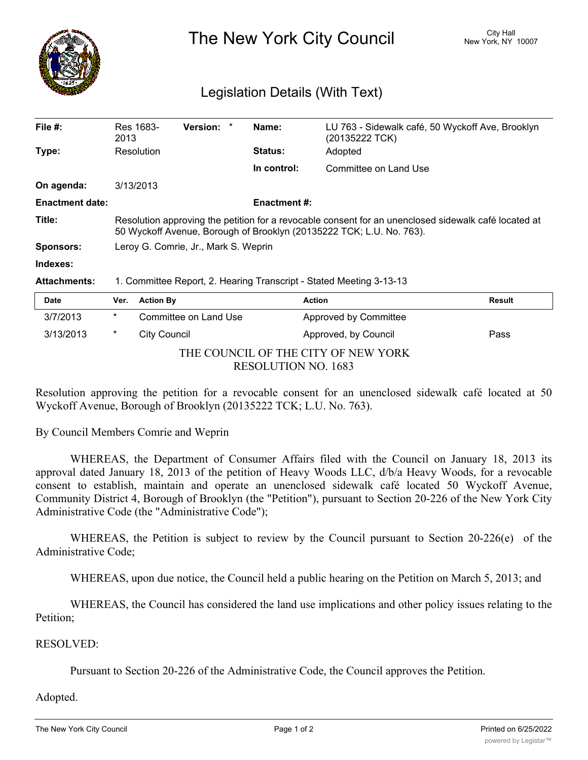

The New York City Council New York, NY 10007

## Legislation Details (With Text)

| File $#$ :             | Res 1683-<br>2013                                                                                                                                                            | <b>Version:</b> | Name:               | LU 763 - Sidewalk café, 50 Wyckoff Ave, Brooklyn<br>(20135222 TCK) |        |  |  |
|------------------------|------------------------------------------------------------------------------------------------------------------------------------------------------------------------------|-----------------|---------------------|--------------------------------------------------------------------|--------|--|--|
| Type:                  | Resolution                                                                                                                                                                   |                 | <b>Status:</b>      | Adopted                                                            |        |  |  |
|                        |                                                                                                                                                                              |                 | In control:         | Committee on Land Use                                              |        |  |  |
| On agenda:             | 3/13/2013                                                                                                                                                                    |                 |                     |                                                                    |        |  |  |
| <b>Enactment date:</b> |                                                                                                                                                                              |                 | <b>Enactment #:</b> |                                                                    |        |  |  |
| Title:                 | Resolution approving the petition for a revocable consent for an unenclosed sidewalk café located at<br>50 Wyckoff Avenue, Borough of Brooklyn (20135222 TCK; L.U. No. 763). |                 |                     |                                                                    |        |  |  |
| <b>Sponsors:</b>       | Leroy G. Comrie, Jr., Mark S. Weprin                                                                                                                                         |                 |                     |                                                                    |        |  |  |
| Indexes:               |                                                                                                                                                                              |                 |                     |                                                                    |        |  |  |
| <b>Attachments:</b>    | 1. Committee Report, 2. Hearing Transcript - Stated Meeting 3-13-13                                                                                                          |                 |                     |                                                                    |        |  |  |
| <b>Date</b>            | Ver.<br><b>Action By</b>                                                                                                                                                     |                 |                     | <b>Action</b>                                                      | Result |  |  |

| ----                                |   | $\cdots$ $\cdots$     | , , , , , , , ,       | .    |  |  |
|-------------------------------------|---|-----------------------|-----------------------|------|--|--|
| 3/7/2013                            | * | Committee on Land Use | Approved by Committee |      |  |  |
| 3/13/2013                           | * | City Council          | Approved, by Council  | Pass |  |  |
| THE COUNCIL OF THE CITY OF NEW YORK |   |                       |                       |      |  |  |
| RESOLUTION NO. 1683                 |   |                       |                       |      |  |  |

Resolution approving the petition for a revocable consent for an unenclosed sidewalk café located at 50 Wyckoff Avenue, Borough of Brooklyn (20135222 TCK; L.U. No. 763).

By Council Members Comrie and Weprin

WHEREAS, the Department of Consumer Affairs filed with the Council on January 18, 2013 its approval dated January 18, 2013 of the petition of Heavy Woods LLC, d/b/a Heavy Woods, for a revocable consent to establish, maintain and operate an unenclosed sidewalk café located 50 Wyckoff Avenue, Community District 4, Borough of Brooklyn (the "Petition"), pursuant to Section 20-226 of the New York City Administrative Code (the "Administrative Code");

WHEREAS, the Petition is subject to review by the Council pursuant to Section 20-226(e) of the Administrative Code;

WHEREAS, upon due notice, the Council held a public hearing on the Petition on March 5, 2013; and

WHEREAS, the Council has considered the land use implications and other policy issues relating to the Petition;

## RESOLVED:

Pursuant to Section 20-226 of the Administrative Code, the Council approves the Petition.

## Adopted.